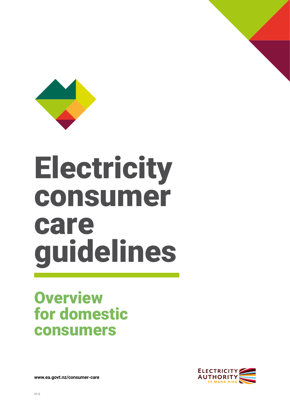

# **Electricity** consumer care guidelines

### **Overview** for domestic consumers



**[www.ea.govt.nz/consumer-care](http://www.ea.govt.nz/consumer-care)**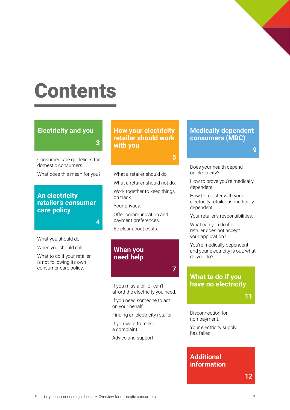## Contents

#### **[Electricity and you](#page-2-0)**

Consumer care guidelines for domestic consumers.

**3**

**4**

What does this mean for you?

#### **An electricity [retailer's consumer](#page-3-0)  care policy**

What you should do.

When you should call.

What to do if your retailer is not following its own consumer care policy.

**[How your electricity](#page-4-0)  retailer should work with you**

#### **5**

**7**

What a retailer should do.

What a retailer should not do.

Work together to keep things on track.

Your privacy.

Offer communication and payment preferences.

Be clear about costs.

#### **When you need help**

If you miss a bill or can't [afford the electricity you need.](#page-6-0) 

If you need someone to act on your behalf.

Finding an electricity retailer.

If you want to make a complaint.

Advice and support.

#### **[Medically dependent](#page-8-0)  consumers (MDC)**

**9**

Does your health depend on electricity?

How to prove you're medically dependent.

How to register with your electricity retailer as medically dependent.

Your retailer's responsibilities.

What can you do if a retailer does not accept your application?

You're medically dependent, and your electricity is out, what do you do?

#### **What to do if you [have no electricity](#page-10-0)**

**11**

Disconnection for non-payment.

Your electricity supply has failed.

#### **Additional [information](#page-11-0)**

**12**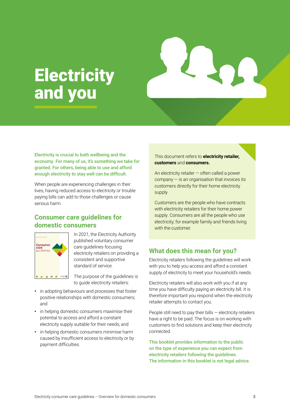### <span id="page-2-0"></span>**Electricity** and you



Electricity is crucial to both wellbeing and the economy. For many of us, it's something we take for granted. For others, being able to use and afford enough electricity to stay well can be difficult.

When people are experiencing challenges in their lives, having reduced access to electricity or trouble paying bills can add to those challenges or cause serious harm.

#### **Consumer care guidelines for domestic consumers**



In 2021, the Electricity Authority published voluntary consumer care guidelines focusing electricity retailers on providing a consistent and supportive standard of service.

The purpose of the guidelines is to guide electricity retailers:

- **•** in adopting behaviours and processes that foster positive relationships with domestic consumers; and
- **•** in helping domestic consumers maximise their potential to access and afford a constant electricity supply suitable for their needs; and
- **•** in helping domestic consumers minimise harm caused by insufficient access to electricity or by payment difficulties.

This document refers to **electricity retailer, customers** and **consumers.**

An electricity retailer — often called a power  $companv - is an oraanisation that involves its$ customers directly for their home electricity supply.

Customers are the people who have contracts with electricity retailers for their home power supply. Consumers are all the people who use electricity; for example family and friends living with the customer.

#### **What does this mean for you?**

Electricity retailers following the guidelines will work with you to help you access and afford a constant supply of electricity to meet your household's needs.

Electricity retailers will also work with you if at any time you have difficulty paying an electricity bill. It is therefore important you respond when the electricity retailer attempts to contact you.

People still need to pay their bills — electricity retailers have a right to be paid. The focus is on working with customers to find solutions and keep their electricity connected.

This booklet provides information to the public on the type of experience you can expect from electricity retailers following the guidelines. The information in this booklet is not legal advice.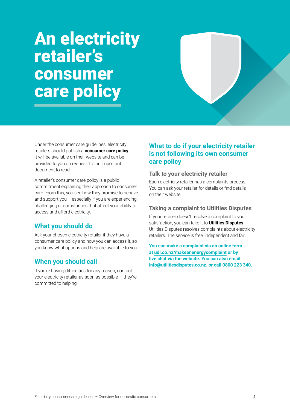### <span id="page-3-0"></span>An electricity retailer's consumer care policy

Under the consumer care guidelines, electricity retailers should publish a **consumer care policy**. It will be available on their website and can be provided to you on request. It's an important document to read.

A retailer's consumer care policy is a public commitment explaining their approach to consumer care. From this, you see how they promise to behave and support you – especially if you are experiencing challenging circumstances that affect your ability to access and afford electricity.

#### **What you should do**

Ask your chosen electricity retailer if they have a consumer care policy and how you can access it, so you know what options and help are available to you.

#### **When you should call**

If you're having difficulties for any reason, contact your electricity retailer as soon as possible — they're committed to helping.

#### **What to do if your electricity retailer is not following its own consumer care policy**

#### **Talk to your electricity retailer**

Each electricity retailer has a complaints process. You can ask your retailer for details or find details on their website.

#### **Taking a complaint to Utilities Disputes**

If your retailer doesn't resolve a complaint to your satisfaction, you can take it to **Utilities Disputes**. Utilities Disputes resolves complaints about electricity retailers. The service is free, independent and fair.

**You can make a complaint via an online form at [udl.co.nz/makeanenergycomplaint](http://udl.co.nz/makeanenergycomplaint) or by live chat via the website. You can also email [info@utilitiesdisputes.co.nz](mailto:info@utilitiesdisputes.co.nz). or call 0800 223 340.**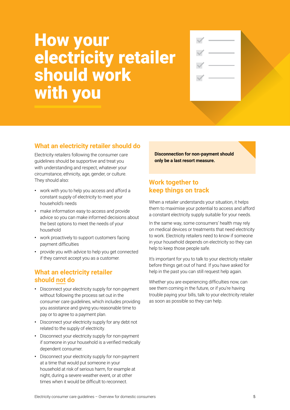### <span id="page-4-0"></span>How your electricity retailer should work with you

#### **What an electricity retailer should do**

Electricity retailers following the consumer care guidelines should be supportive and treat you with understanding and respect, whatever your circumstance, ethnicity, age, gender, or culture. They should also:

- **•** work with you to help you access and afford a constant supply of electricity to meet your household's needs
- **•** make information easy to access and provide advice so you can make informed decisions about the best options to meet the needs of your household
- **•** work proactively to support customers facing payment difficulties
- **•** provide you with advice to help you get connected if they cannot accept you as a customer.

#### **What an electricity retailer should not do**

- **•** Disconnect your electricity supply for non-payment without following the process set out in the consumer care guidelines, which includes providing you assistance and giving you reasonable time to pay or to agree to a payment plan.
- **•** Disconnect your electricity supply for any debt not related to the supply of electricity.
- **•** Disconnect your electricity supply for non-payment if someone in your household is a verified medically dependent consumer.
- **•** Disconnect your electricity supply for non-payment at a time that would put someone in your household at risk of serious harm, for example at night, during a severe weather event, or at other times when it would be difficult to reconnect.

**Disconnection for non-payment should only be a last resort measure.**

#### **Work together to keep things on track**

When a retailer understands your situation, it helps them to maximise your potential to access and afford a constant electricity supply suitable for your needs.

In the same way, some consumers' health may rely on medical devices or treatments that need electricity to work. Electricity retailers need to know if someone in your household depends on electricity so they can help to keep those people safe.

It's important for you to talk to your electricity retailer before things get out of hand. If you have asked for help in the past you can still request help again.

Whether you are experiencing difficulties now, can see them coming in the future, or if you're having trouble paying your bills, talk to your electricity retailer as soon as possible so they can help.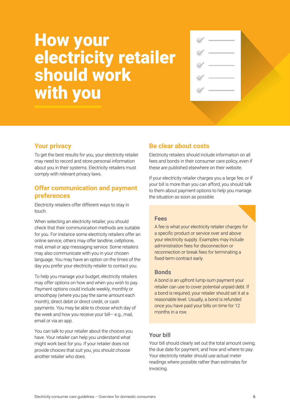### How your electricity retailer should work with you

#### **Your privacy**

To get the best results for you, your electricity retailer may need to record and store personal information about you in their systems. Electricity retailers must comply with relevant privacy laws.

#### **Offer communication and payment preferences**

Electricity retailers offer different ways to stay in touch.

When selecting an electricity retailer, you should check that their communication methods are suitable for you. For instance some electricity retailers offer an online service, others may offer landline, cellphone, mail, email or app messaging service. Some retailers may also communicate with you in your chosen language. You may have an option on the times of the day you prefer your electricity retailer to contact you.

To help you manage your budget, electricity retailers may offer options on how and when you wish to pay. Payment options could include weekly, monthly or smoothpay (where you pay the same amount each month), direct debit or direct credit, or cash payments. You may be able to choose which day of the week and how you receive your bill— e.g., mail, email or via an app.

You can talk to your retailer about the choices you have. Your retailer can help you understand what might work best for you. If your retailer does not provide choices that suit you, you should choose another retailer who does.

#### **Be clear about costs**

Electricity retailers should include information on all fees and bonds in their consumer care policy, even if these are published elsewhere on their website.

If your electricity retailer charges you a large fee, or if your bill is more than you can afford, you should talk to them about payment options to help you manage the situation as soon as possible.

#### **Fees**

A fee is what your electricity retailer charges for a specific product or service over and above your electricity supply. Examples may include administration fees for disconnection or reconnection or break fees for terminating a fixed-term contract early.

#### **Bonds**

A bond is an upfront lump-sum payment your retailer can use to cover potential unpaid debt. If a bond is required, your retailer should set it at a reasonable level. Usually, a bond is refunded once you have paid your bills on time for 12 months in a row.

#### **Your bill**

Your bill should clearly set out the total amount owing, the due date for payment, and how and where to pay. Your electricity retailer should use actual meter readings where possible rather than estimates for invoicing.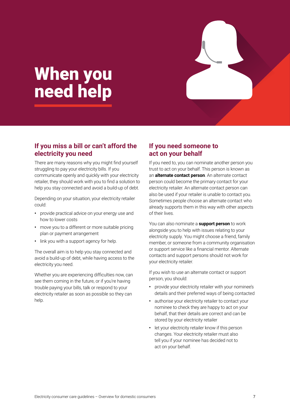### <span id="page-6-0"></span>When you need help

#### **If you miss a bill or can't afford the electricity you need**

There are many reasons why you might find yourself struggling to pay your electricity bills. If you communicate openly and quickly with your electricity retailer, they should work with you to find a solution to help you stay connected and avoid a build-up of debt.

Depending on your situation, your electricity retailer could:

- **•** provide practical advice on your energy use and how to lower costs
- **•** move you to a different or more suitable pricing plan or payment arrangement
- **•** link you with a support agency for help.

The overall aim is to help you stay connected and avoid a build-up of debt, while having access to the electricity you need.

Whether you are experiencing difficulties now, can see them coming in the future, or if you're having trouble paying your bills, talk or respond to your electricity retailer as soon as possible so they can help.

#### **If you need someone to act on your behalf**

If you need to, you can nominate another person you trust to act on your behalf. This person is known as an **alternate contact person**. An alternate contact person could become the primary contact for your electricity retailer. An alternate contact person can also be used if your retailer is unable to contact you. Sometimes people choose an alternate contact who already supports them in this way with other aspects of their lives.

You can also nominate a **support person** to work alongside you to help with issues relating to your electricity supply. You might choose a friend, family member, or someone from a community organisation or support service like a financial mentor. Alternate contacts and support persons should not work for your electricity retailer.

If you wish to use an alternate contact or support person, you should:

- **•** provide your electricity retailer with your nominee's details and their preferred ways of being contacted
- **•** authorise your electricity retailer to contact your nominee to check they are happy to act on your behalf, that their details are correct and can be stored by your electricity retailer
- **•** let your electricity retailer know if this person changes. Your electricity retailer must also tell you if your nominee has decided not to act on your behalf.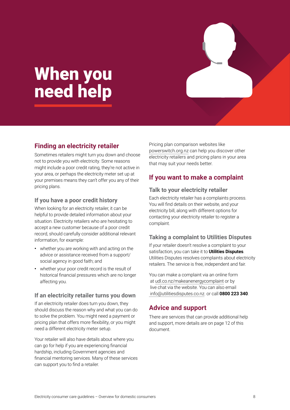### When you need help

#### **Finding an electricity retailer**

Sometimes retailers might turn you down and choose not to provide you with electricity. Some reasons might include a poor credit rating, they're not active in your area, or perhaps the electricity meter set up at your premises means they can't offer you any of their pricing plans.

#### **If you have a poor credit history**

When looking for an electricity retailer, it can be helpful to provide detailed information about your situation. Electricity retailers who are hesitating to accept a new customer because of a poor credit record, should carefully consider additional relevant information, for example:

- **•** whether you are working with and acting on the advice or assistance received from a support/ social agency in good faith; and
- **•** whether your poor credit record is the result of historical financial pressures which are no longer affecting you.

#### **If an electricity retailer turns you down**

If an electricity retailer does turn you down, they should discuss the reason why and what you can do to solve the problem. You might need a payment or pricing plan that offers more flexibility, or you might need a different electricity meter setup.

Your retailer will also have details about where you can go for help if you are experiencing financial hardship, including Government agencies and financial mentoring services. Many of these services can support you to find a retailer.

Pricing plan comparison websites like [powerswitch.org.nz](http://Powerswitch.org.nz) can help you discover other electricity retailers and pricing plans in your area that may suit your needs better.

#### **If you want to make a complaint**

#### **Talk to your electricity retailer**

Each electricity retailer has a complaints process. You will find details on their website, and your electricity bill, along with different options for contacting your electricity retailer to register a complaint.

#### **Taking a complaint to Utilities Disputes**

If your retailer doesn't resolve a complaint to your satisfaction, you can take it to **Utilities Disputes**. Utilities Disputes resolves complaints about electricity retailers. The service is free, independent and fair.

You can make a complaint via an online form at [udl.co.nz/makeanenergycomplaint](http://udl.co.nz/makeanenergycomplaint) or by live chat via the website. You can also email  [info@utilitiesdisputes.co.nz.](mailto:info@utilitiesdisputes.co.nz) or call **0800 223 340**.

#### **Advice and support**

There are services that can provide additional help and support, more details are on page 12 of this document.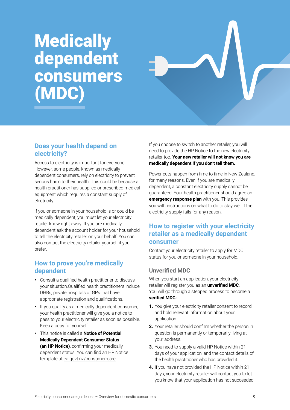### <span id="page-8-0"></span>**Medically** dependent consumers (MDC)



#### **Does your health depend on electricity?**

Access to electricity is important for everyone. However, some people, known as medically dependent consumers, rely on electricity to prevent serious harm to their health. This could be because a health practitioner has supplied or prescribed medical equipment which requires a constant supply of electricity.

If you or someone in your household is or could be medically dependent, you must let your electricity retailer know right away. If you are medically dependent ask the account holder for your household to tell the electricity retailer on your behalf. You can also contact the electricity retailer yourself if you prefer.

#### **How to prove you're medically dependent**

- **•** Consult a qualified health practitioner to discuss your situation.Qualified health practitioners include DHBs, private hospitals or GPs that have appropriate registration and qualifications.
- **•** If you qualify as a medically dependent consumer, your health practitioner will give you a notice to pass to your electricity retailer as soon as possible. Keep a copy for yourself.
- **•** This notice is called a **Notice of Potential Medically Dependent Consumer Status (an HP Notice)**, confirming your medically dependent status. You can find an HP Notice template at [ea.govt.nz/consumer-care](http://ea.govt.nz/consumer-care).

If you choose to switch to another retailer, you will need to provide the HP Notice to the new electricity retailer too. **Your new retailer will not know you are medically dependent if you don't tell them.**

Power cuts happen from time to time in New Zealand, for many reasons. Even if you are medically dependent, a constant electricity supply cannot be guaranteed. Your health practitioner should agree an **emergency response plan** with you. This provides you with instructions on what to do to stay well if the electricity supply fails for any reason.

#### **How to register with your electricity retailer as a medically dependent consumer**

Contact your electricity retailer to apply for MDC status for you or someone in your household.

#### **Unverified MDC**

When you start an application, your electricity retailer will register you as an **unverified MDC**. You will go through a stepped process to become a **verified MDC:**

- **1.** You give your electricity retailer consent to record and hold relevant information about your application.
- **2.** Your retailer should confirm whether the person in question is permanently or temporarily living at your address.
- **3.** You need to supply a valid HP Notice within 21 days of your application, and the contact details of the health practitioner who has provided it.
- **4.** If you have not provided the HP Notice within 21 days, your electricity retailer will contact you to let you know that your application has not succeeded.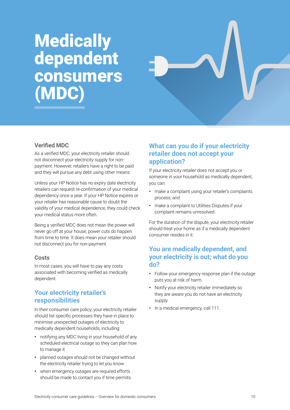### **Medically** dependent consumers (MDC)



#### **Verified MDC**

As a verified MDC, your electricity retailer should not disconnect your electricity supply for nonpayment. However, retailers have a right to be paid and they will pursue any debt using other means.

Unless your HP Notice has no expiry date electricity retailers can request re-confirmation of your medical dependency once a year. If your HP Notice expires or your retailer has reasonable cause to doubt the validity of your medical dependence, they could check your medical status more often.

Being a verified MDC does not mean the power will never go off at your house, power cuts do happen from time to time. It does mean your retailer should not disconnect you for non-payment.

#### **Costs**

In most cases, you will have to pay any costs associated with becoming verified as medically dependent.

#### **Your electricity retailer's responsibilities**

In their consumer care policy, your electricity retailer should list specific processes they have in place to minimise unexpected outages of electricity to medically dependent households, including:

- **•** notifying any MDC living in your household of any scheduled electrical outage so they can plan how to manage it
- **•** planned outages should not be changed without the electricity retailer trying to let you know
- **•** when emergency outages are required efforts should be made to contact you if time permits.

#### **What can you do if your electricity retailer does not accept your application?**

If your electricity retailer does not accept you or someone in your household as medically dependent, you can:

- **•** make a complaint using your retailer's complaints process; and
- **•** make a complaint to Utilities Disputes if your complaint remains unresolved.

For the duration of the dispute, your electricity retailer should treat your home as if a medically dependent consumer resides in it.

#### **You are medically dependent, and your electricity is out; what do you do?**

- **•** Follow your emergency response plan if the outage puts you at risk of harm.
- **•** Notify your electricity retailer immediately so they are aware you do not have an electricity supply.
- **•** In a medical emergency, call 111.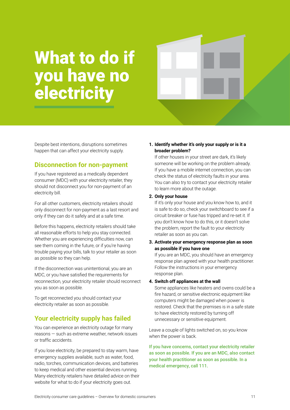### <span id="page-10-0"></span>What to do if you have no **electricity**



Despite best intentions, disruptions sometimes happen that can affect your electricity supply.

#### **Disconnection for non-payment**

If you have registered as a medically dependent consumer (MDC) with your electricity retailer, they should not disconnect you for non-payment of an electricity bill.

For all other customers, electricity retailers should only disconnect for non-payment as a last resort and only if they can do it safely and at a safe time.

Before this happens, electricity retailers should take all reasonable efforts to help you stay connected. Whether you are experiencing difficulties now, can see them coming in the future, or if you're having trouble paying your bills, talk to your retailer as soon as possible so they can help.

If the disconnection was unintentional, you are an MDC, or you have satisfied the requirements for reconnection, your electricity retailer should reconnect you as soon as possible.

To get reconnected you should contact your electricity retailer as soon as possible.

#### **Your electricity supply has failed**

You can experience an electricity outage for many reasons — such as extreme weather, network issues or traffic accidents.

If you lose electricity, be prepared to stay warm, have emergency supplies available, such as water, food, radio, torches, communication devices, and batteries to keep medical and other essential devices running. Many electricity retailers have detailed advice on their website for what to do if your electricity goes out.

#### **1. Identify whether it's only your supply or is it a broader problem?**

If other houses in your street are dark, it's likely someone will be working on the problem already. If you have a mobile internet connection, you can check the status of electricity faults in your area. You can also try to contact your electricity retailer to learn more about the outage.

#### **2. Only your house**

If it's only your house and you know how to, and it is safe to do so, check your switchboard to see if a circuit breaker or fuse has tripped and re-set it. If you don't know how to do this, or it doesn't solve the problem, report the fault to your electricity retailer as soon as you can.

**3. Activate your emergency response plan as soon as possible if you have one**

If you are an MDC, you should have an emergency response plan agreed with your health practitioner. Follow the instructions in your emergency response plan.

#### **4. Switch off appliances at the wall**

Some appliances like heaters and ovens could be a fire hazard, or sensitive electronic equipment like computers might be damaged when power is restored. Check that the premises is in a safe state to have electricity restored by turning off unnecessary or sensitive equipment.

Leave a couple of lights switched on, so you know when the power is back.

If you have concerns, contact your electricity retailer as soon as possible. If you are an MDC, also contact your health practitioner as soon as possible. In a medical emergency, call 111.